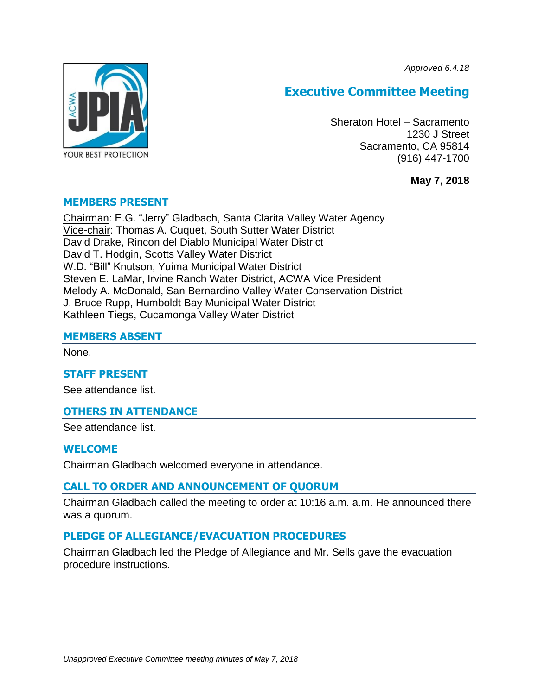*Approved 6.4.18*



# **Executive Committee Meeting**

Sheraton Hotel – Sacramento 1230 J Street Sacramento, CA 95814 (916) 447-1700

**May 7, 2018**

# **MEMBERS PRESENT**

Chairman: E.G. "Jerry" Gladbach, Santa Clarita Valley Water Agency Vice-chair: Thomas A. Cuquet, South Sutter Water District David Drake, Rincon del Diablo Municipal Water District David T. Hodgin, Scotts Valley Water District W.D. "Bill" Knutson, Yuima Municipal Water District Steven E. LaMar, Irvine Ranch Water District, ACWA Vice President Melody A. McDonald, San Bernardino Valley Water Conservation District J. Bruce Rupp, Humboldt Bay Municipal Water District Kathleen Tiegs, Cucamonga Valley Water District

# **MEMBERS ABSENT**

None.

### **STAFF PRESENT**

See attendance list.

# **OTHERS IN ATTENDANCE**

See attendance list.

# **WELCOME**

Chairman Gladbach welcomed everyone in attendance.

# **CALL TO ORDER AND ANNOUNCEMENT OF QUORUM**

Chairman Gladbach called the meeting to order at 10:16 a.m. a.m. He announced there was a quorum.

# **PLEDGE OF ALLEGIANCE/EVACUATION PROCEDURES**

Chairman Gladbach led the Pledge of Allegiance and Mr. Sells gave the evacuation procedure instructions.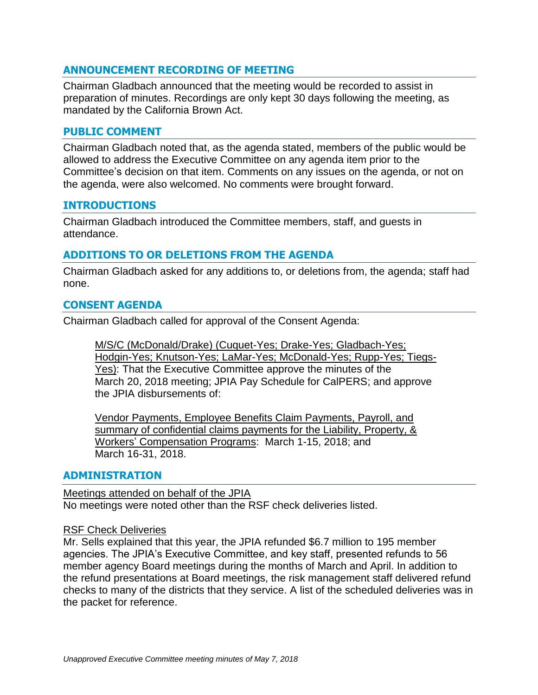# **ANNOUNCEMENT RECORDING OF MEETING**

Chairman Gladbach announced that the meeting would be recorded to assist in preparation of minutes. Recordings are only kept 30 days following the meeting, as mandated by the California Brown Act.

# **PUBLIC COMMENT**

Chairman Gladbach noted that, as the agenda stated, members of the public would be allowed to address the Executive Committee on any agenda item prior to the Committee's decision on that item. Comments on any issues on the agenda, or not on the agenda, were also welcomed. No comments were brought forward.

# **INTRODUCTIONS**

Chairman Gladbach introduced the Committee members, staff, and guests in attendance.

# **ADDITIONS TO OR DELETIONS FROM THE AGENDA**

Chairman Gladbach asked for any additions to, or deletions from, the agenda; staff had none.

# **CONSENT AGENDA**

Chairman Gladbach called for approval of the Consent Agenda:

M/S/C (McDonald/Drake) (Cuquet-Yes; Drake-Yes; Gladbach-Yes; Hodgin-Yes; Knutson-Yes; LaMar-Yes; McDonald-Yes; Rupp-Yes; Tiegs-Yes): That the Executive Committee approve the minutes of the March 20, 2018 meeting; JPIA Pay Schedule for CalPERS; and approve the JPIA disbursements of:

Vendor Payments, Employee Benefits Claim Payments, Payroll, and summary of confidential claims payments for the Liability, Property, & Workers' Compensation Programs: March 1-15, 2018; and March 16-31, 2018.

### **ADMINISTRATION**

Meetings attended on behalf of the JPIA No meetings were noted other than the RSF check deliveries listed.

### RSF Check Deliveries

Mr. Sells explained that this year, the JPIA refunded \$6.7 million to 195 member agencies. The JPIA's Executive Committee, and key staff, presented refunds to 56 member agency Board meetings during the months of March and April. In addition to the refund presentations at Board meetings, the risk management staff delivered refund checks to many of the districts that they service. A list of the scheduled deliveries was in the packet for reference.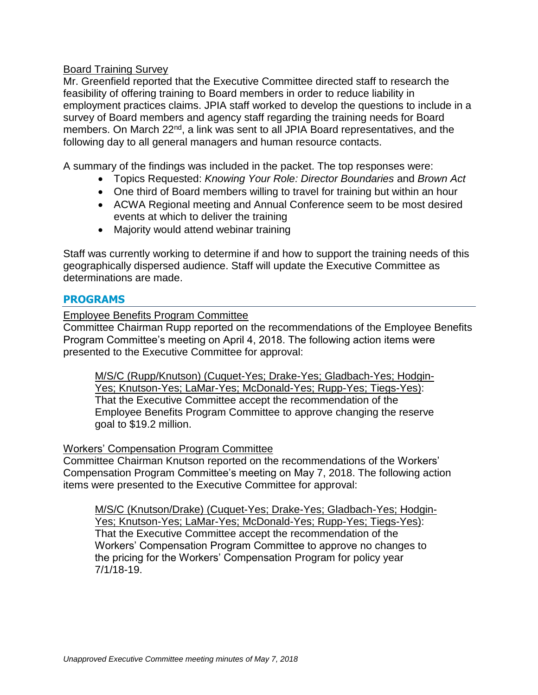# Board Training Survey

Mr. Greenfield reported that the Executive Committee directed staff to research the feasibility of offering training to Board members in order to reduce liability in employment practices claims. JPIA staff worked to develop the questions to include in a survey of Board members and agency staff regarding the training needs for Board members. On March 22<sup>nd</sup>, a link was sent to all JPIA Board representatives, and the following day to all general managers and human resource contacts.

A summary of the findings was included in the packet. The top responses were:

- Topics Requested: *Knowing Your Role: Director Boundaries* and *Brown Act*
- One third of Board members willing to travel for training but within an hour
- ACWA Regional meeting and Annual Conference seem to be most desired events at which to deliver the training
- Majority would attend webinar training

Staff was currently working to determine if and how to support the training needs of this geographically dispersed audience. Staff will update the Executive Committee as determinations are made.

# **PROGRAMS**

Employee Benefits Program Committee

Committee Chairman Rupp reported on the recommendations of the Employee Benefits Program Committee's meeting on April 4, 2018. The following action items were presented to the Executive Committee for approval:

M/S/C (Rupp/Knutson) (Cuquet-Yes; Drake-Yes; Gladbach-Yes; Hodgin-Yes; Knutson-Yes; LaMar-Yes; McDonald-Yes; Rupp-Yes; Tiegs-Yes): That the Executive Committee accept the recommendation of the Employee Benefits Program Committee to approve changing the reserve goal to \$19.2 million.

# Workers' Compensation Program Committee

Committee Chairman Knutson reported on the recommendations of the Workers' Compensation Program Committee's meeting on May 7, 2018. The following action items were presented to the Executive Committee for approval:

M/S/C (Knutson/Drake) (Cuquet-Yes; Drake-Yes; Gladbach-Yes; Hodgin-Yes; Knutson-Yes; LaMar-Yes; McDonald-Yes; Rupp-Yes; Tiegs-Yes): That the Executive Committee accept the recommendation of the Workers' Compensation Program Committee to approve no changes to the pricing for the Workers' Compensation Program for policy year 7/1/18-19.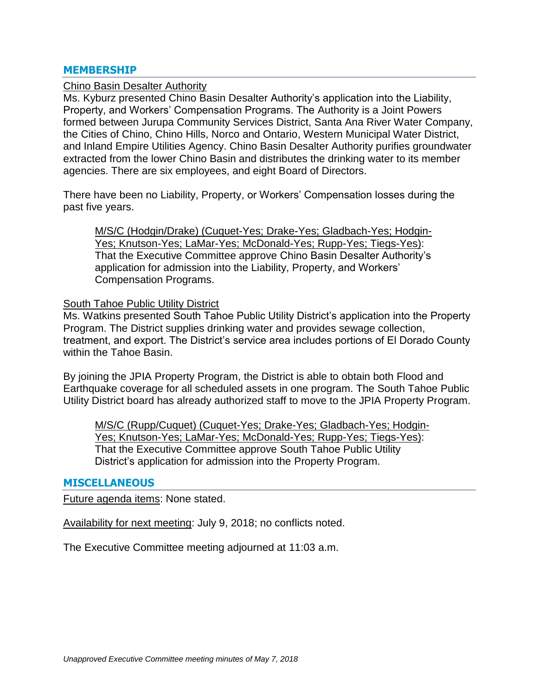### **MEMBERSHIP**

#### Chino Basin Desalter Authority

Ms. Kyburz presented Chino Basin Desalter Authority's application into the Liability, Property, and Workers' Compensation Programs. The Authority is a Joint Powers formed between Jurupa Community Services District, Santa Ana River Water Company, the Cities of Chino, Chino Hills, Norco and Ontario, Western Municipal Water District, and Inland Empire Utilities Agency. Chino Basin Desalter Authority purifies groundwater extracted from the lower Chino Basin and distributes the drinking water to its member agencies. There are six employees, and eight Board of Directors.

There have been no Liability, Property, or Workers' Compensation losses during the past five years.

M/S/C (Hodgin/Drake) (Cuquet-Yes; Drake-Yes; Gladbach-Yes; Hodgin-Yes; Knutson-Yes; LaMar-Yes; McDonald-Yes; Rupp-Yes; Tiegs-Yes): That the Executive Committee approve Chino Basin Desalter Authority's application for admission into the Liability, Property, and Workers' Compensation Programs.

#### South Tahoe Public Utility District

Ms. Watkins presented South Tahoe Public Utility District's application into the Property Program. The District supplies drinking water and provides sewage collection, treatment, and export. The District's service area includes portions of El Dorado County within the Tahoe Basin.

By joining the JPIA Property Program, the District is able to obtain both Flood and Earthquake coverage for all scheduled assets in one program. The South Tahoe Public Utility District board has already authorized staff to move to the JPIA Property Program.

M/S/C (Rupp/Cuquet) (Cuquet-Yes; Drake-Yes; Gladbach-Yes; Hodgin-Yes; Knutson-Yes; LaMar-Yes; McDonald-Yes; Rupp-Yes; Tiegs-Yes): That the Executive Committee approve South Tahoe Public Utility District's application for admission into the Property Program.

#### **MISCELLANEOUS**

Future agenda items: None stated.

Availability for next meeting: July 9, 2018; no conflicts noted.

The Executive Committee meeting adjourned at 11:03 a.m.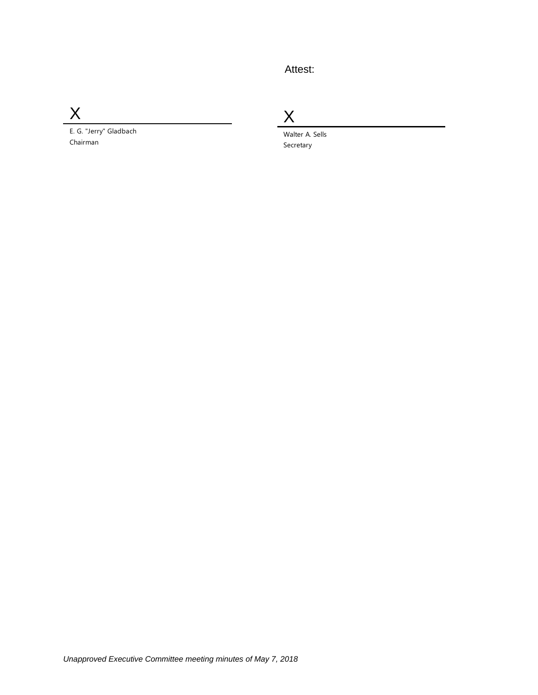# Attest:

X

E. G. "Jerry" Gladbach Chairman

X

Walter A. Sells Secretary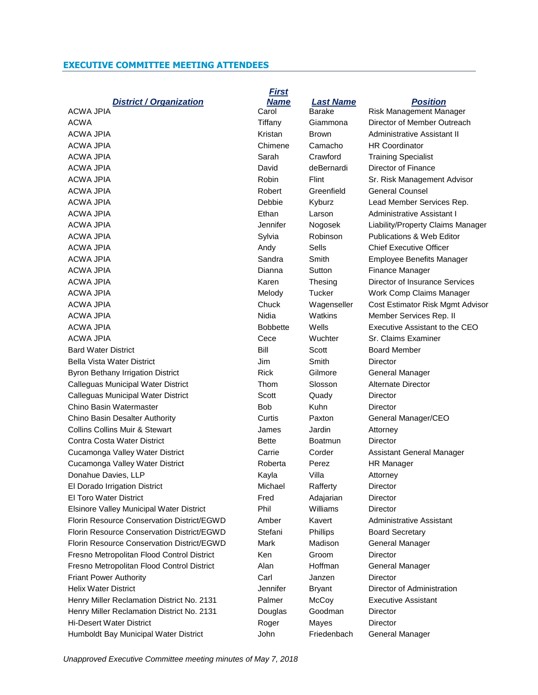#### **EXECUTIVE COMMITTEE MEETING ATTENDEES**

|  | <b>District / Organization</b> |
|--|--------------------------------|
|--|--------------------------------|

| AUWA JEIA                                  | vaivi           | Dalant        | KISK Managemen            |
|--------------------------------------------|-----------------|---------------|---------------------------|
| <b>ACWA</b>                                | Tiffany         | Giammona      | Director of Membe         |
| <b>ACWA JPIA</b>                           | Kristan         | Brown         | Administrative As:        |
| <b>ACWA JPIA</b>                           | Chimene         | Camacho       | <b>HR Coordinator</b>     |
| <b>ACWA JPIA</b>                           | Sarah           | Crawford      | <b>Training Specialis</b> |
| <b>ACWA JPIA</b>                           | David           | deBernardi    | Director of Financ        |
| <b>ACWA JPIA</b>                           | <b>Robin</b>    | Flint         | Sr. Risk Managen          |
| ACWA JPIA                                  | Robert          | Greenfield    | General Counsel           |
| <b>ACWA JPIA</b>                           | Debbie          | Kyburz        | Lead Member Ser           |
| <b>ACWA JPIA</b>                           | Ethan           | Larson        | <b>Administrative Ass</b> |
| ACWA JPIA                                  | Jennifer        | Nogosek       | Liability/Property (      |
| <b>ACWA JPIA</b>                           | Sylvia          | Robinson      | Publications & We         |
| <b>ACWA JPIA</b>                           | Andy            | Sells         | Chief Executive C         |
| <b>ACWA JPIA</b>                           | Sandra          | Smith         | <b>Employee Benefit</b>   |
| <b>ACWA JPIA</b>                           | Dianna          | Sutton        | Finance Manager           |
| ACWA JPIA                                  | Karen           | Thesing       | Director of Insurar       |
| ACWA JPIA                                  | Melody          | <b>Tucker</b> | Work Comp Claim           |
| <b>ACWA JPIA</b>                           | Chuck           | Wagenseller   | Cost Estimator Ri         |
| <b>ACWA JPIA</b>                           | Nidia           | Watkins       | <b>Member Services</b>    |
| <b>ACWA JPIA</b>                           | <b>Bobbette</b> | Wells         | Executive Assista         |
| <b>ACWA JPIA</b>                           | Cece            | Wuchter       | Sr. Claims Examir         |
| <b>Bard Water District</b>                 | Bill            | Scott         | <b>Board Member</b>       |
| <b>Bella Vista Water District</b>          | Jim             | Smith         | Director                  |
| <b>Byron Bethany Irrigation District</b>   | <b>Rick</b>     | Gilmore       | General Manager           |
| Calleguas Municipal Water District         | Thom            | Slosson       | <b>Alternate Director</b> |
| Calleguas Municipal Water District         | Scott           | Quady         | Director                  |
| Chino Basin Watermaster                    | Bob             | <b>Kuhn</b>   | Director                  |
| Chino Basin Desalter Authority             | Curtis          | Paxton        | General Manager,          |
| <b>Collins Collins Muir &amp; Stewart</b>  | James           | Jardin        | Attorney                  |
| Contra Costa Water District                | <b>Bette</b>    | Boatmun       | Director                  |
| Cucamonga Valley Water District            | Carrie          | Corder        | <b>Assistant General</b>  |
| Cucamonga Valley Water District            | Roberta         | Perez         | <b>HR Manager</b>         |
| Donahue Davies, LLP                        | Kayla           | Villa         | Attorney                  |
| El Dorado Irrigation District              | Michael         | Rafferty      | Director                  |
| <b>El Toro Water District</b>              | Fred            | Adajarian     | <b>Director</b>           |
| Elsinore Valley Municipal Water District   | Phil            | Williams      | Director                  |
| Florin Resource Conservation District/EGWD | Amber           | Kavert        | Administrative As:        |
| Florin Resource Conservation District/EGWD | Stefani         | Phillips      | <b>Board Secretary</b>    |
| Florin Resource Conservation District/EGWD | Mark            | Madison       | <b>General Manager</b>    |
| Fresno Metropolitan Flood Control District | Ken             | Groom         | Director                  |
| Fresno Metropolitan Flood Control District | Alan            | Hoffman       | General Manager           |
| <b>Friant Power Authority</b>              | Carl            | Janzen        | Director                  |
| <b>Helix Water District</b>                | Jennifer        | <b>Bryant</b> | Director of Admini        |
| Henry Miller Reclamation District No. 2131 | Palmer          | McCoy         | <b>Executive Assista</b>  |
| Henry Miller Reclamation District No. 2131 | Douglas         | Goodman       | Director                  |
| <b>Hi-Desert Water District</b>            | Roger           | Mayes         | Director                  |
| Humboldt Bay Municipal Water District      | John            | Friedenbach   | <b>General Manager</b>    |

*First Name Last Name Position* ACWA JPIA **CAROL CAROL BARAGEMENT CAROLE AREA** Risk Management Manager Kristan Brown Administrative Assistant II Chimene Camacho HR Coordinator Sarah Crawford Training Specialist David deBernardi Director of Finance Robert Greenfield General Counsel Ethan Larson Administrative Assistant I Sylvia Robinson Publications & Web Editor Andy Sells Chief Executive Officer Dianna Sutton Finance Manager Nidia Matkins Member Services Rep. II Cece Wuchter Sr. Claims Examiner Bill Scott Board Member Rick Gilmore General Manager Thom Slosson Alternate Director Curtis Paxton General Manager/CEO Carrie Corder Assistant General Manager Roberta Perez HR Manager Fred Adajarian Director D Amber Kavert Administrative Assistant D Stefani Phillips Board Secretary D Mark Madison General Manager Alan Hoffman General Manager Jennifer Bryant Director of Administration Palmer McCoy Executive Assistant

Tiffany Giammona Director of Member Outreach Robin Flint Sr. Risk Management Advisor Debbie Kyburz Lead Member Services Rep. Jennifer Nogosek Liability/Property Claims Manager Sandra Smith Employee Benefits Manager Karen Thesing Director of Insurance Services Melody Tucker Work Comp Claims Manager Chuck Wagenseller Cost Estimator Risk Mgmt Advisor Bobbette Wells Executive Assistant to the CEO